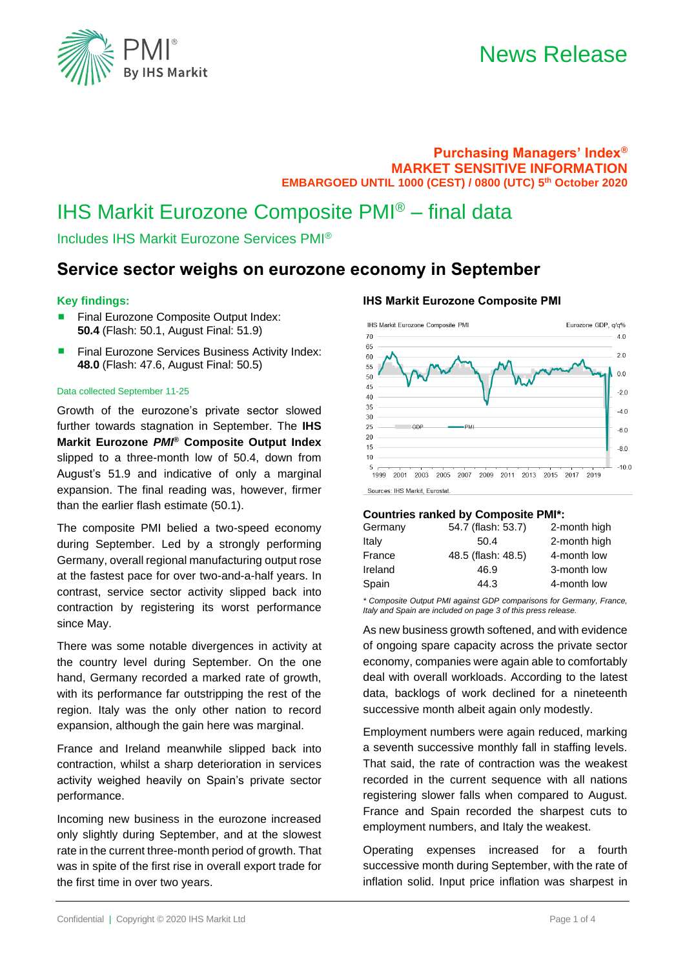

### **Purchasing Managers' Index® MARKET SENSITIVE INFORMATION EMBARGOED UNTIL 1000 (CEST) / 0800 (UTC) 5 th October 2020**

# IHS Markit Eurozone Composite PMI® – final data

Includes IHS Markit Eurozone Services PMI®

# **Service sector weighs on eurozone economy in September**

### **Key findings:**

- Final Eurozone Composite Output Index: **50.4** (Flash: 50.1, August Final: 51.9)
- **Final Eurozone Services Business Activity Index: 48.0** (Flash: 47.6, August Final: 50.5)

#### Data collected September 11-25

Growth of the eurozone's private sector slowed further towards stagnation in September. The **IHS Markit Eurozone** *PMI***® Composite Output Index** slipped to a three-month low of 50.4, down from August's 51.9 and indicative of only a marginal expansion. The final reading was, however, firmer than the earlier flash estimate (50.1).

The composite PMI belied a two-speed economy during September. Led by a strongly performing Germany, overall regional manufacturing output rose at the fastest pace for over two-and-a-half years. In contrast, service sector activity slipped back into contraction by registering its worst performance since May.

There was some notable divergences in activity at the country level during September. On the one hand, Germany recorded a marked rate of growth, with its performance far outstripping the rest of the region. Italy was the only other nation to record expansion, although the gain here was marginal.

France and Ireland meanwhile slipped back into contraction, whilst a sharp deterioration in services activity weighed heavily on Spain's private sector performance.

Incoming new business in the eurozone increased only slightly during September, and at the slowest rate in the current three-month period of growth. That was in spite of the first rise in overall export trade for the first time in over two years.

### **IHS Markit Eurozone Composite PMI**



Sources: IHS Markit, Eurostat

### **Countries ranked by Composite PMI\*:**

| 54.7 (flash: 53.7) | 2-month high |
|--------------------|--------------|
| 50.4               | 2-month high |
| 48.5 (flash: 48.5) | 4-month low  |
| 46.9               | 3-month low  |
| 44.3               | 4-month low  |
|                    |              |

*\* Composite Output PMI against GDP comparisons for Germany, France, Italy and Spain are included on page 3 of this press release.*

As new business growth softened, and with evidence of ongoing spare capacity across the private sector economy, companies were again able to comfortably deal with overall workloads. According to the latest data, backlogs of work declined for a nineteenth successive month albeit again only modestly.

Employment numbers were again reduced, marking a seventh successive monthly fall in staffing levels. That said, the rate of contraction was the weakest recorded in the current sequence with all nations registering slower falls when compared to August. France and Spain recorded the sharpest cuts to employment numbers, and Italy the weakest.

Operating expenses increased for a fourth successive month during September, with the rate of inflation solid. Input price inflation was sharpest in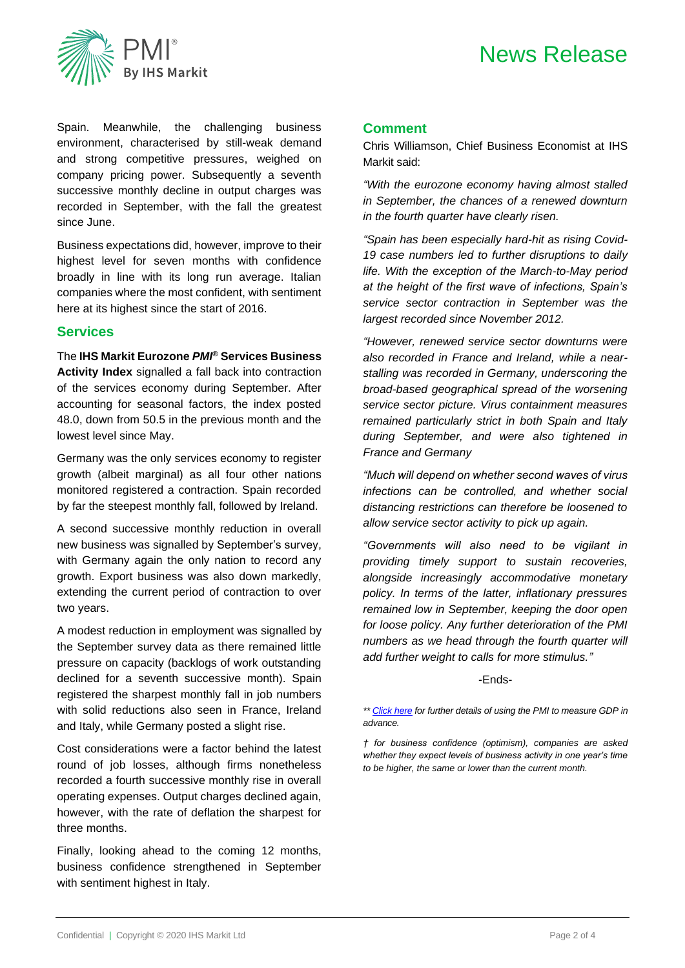# News Release



Spain. Meanwhile, the challenging business environment, characterised by still-weak demand and strong competitive pressures, weighed on company pricing power. Subsequently a seventh successive monthly decline in output charges was recorded in September, with the fall the greatest since June.

Business expectations did, however, improve to their highest level for seven months with confidence broadly in line with its long run average. Italian companies where the most confident, with sentiment here at its highest since the start of 2016.

## **Services**

The **IHS Markit Eurozone** *PMI***® Services Business Activity Index** signalled a fall back into contraction of the services economy during September. After accounting for seasonal factors, the index posted 48.0, down from 50.5 in the previous month and the lowest level since May.

Germany was the only services economy to register growth (albeit marginal) as all four other nations monitored registered a contraction. Spain recorded by far the steepest monthly fall, followed by Ireland.

A second successive monthly reduction in overall new business was signalled by September's survey, with Germany again the only nation to record any growth. Export business was also down markedly, extending the current period of contraction to over two years.

A modest reduction in employment was signalled by the September survey data as there remained little pressure on capacity (backlogs of work outstanding declined for a seventh successive month). Spain registered the sharpest monthly fall in job numbers with solid reductions also seen in France, Ireland and Italy, while Germany posted a slight rise.

Cost considerations were a factor behind the latest round of job losses, although firms nonetheless recorded a fourth successive monthly rise in overall operating expenses. Output charges declined again, however, with the rate of deflation the sharpest for three months.

Finally, looking ahead to the coming 12 months, business confidence strengthened in September with sentiment highest in Italy.

### **Comment**

Chris Williamson, Chief Business Economist at IHS Markit said:

*"With the eurozone economy having almost stalled in September, the chances of a renewed downturn in the fourth quarter have clearly risen.* 

*"Spain has been especially hard-hit as rising Covid-19 case numbers led to further disruptions to daily life. With the exception of the March-to-May period at the height of the first wave of infections, Spain's service sector contraction in September was the largest recorded since November 2012.* 

*"However, renewed service sector downturns were also recorded in France and Ireland, while a nearstalling was recorded in Germany, underscoring the broad-based geographical spread of the worsening service sector picture. Virus containment measures remained particularly strict in both Spain and Italy during September, and were also tightened in France and Germany*

*"Much will depend on whether second waves of virus infections can be controlled, and whether social distancing restrictions can therefore be loosened to allow service sector activity to pick up again.*

*"Governments will also need to be vigilant in providing timely support to sustain recoveries, alongside increasingly accommodative monetary policy. In terms of the latter, inflationary pressures remained low in September, keeping the door open for loose policy. Any further deterioration of the PMI numbers as we head through the fourth quarter will add further weight to calls for more stimulus."*

-Ends-

*<sup>\*\*</sup> [Click here](http://www.markit.com/Commentary/Get/17082015-Economics-Using-PMI-survey-data-to-predict-official-eurozone-GDP-growth-rates) for further details of using the PMI to measure GDP in advance.*

*<sup>†</sup> for business confidence (optimism), companies are asked whether they expect levels of business activity in one year's time to be higher, the same or lower than the current month.*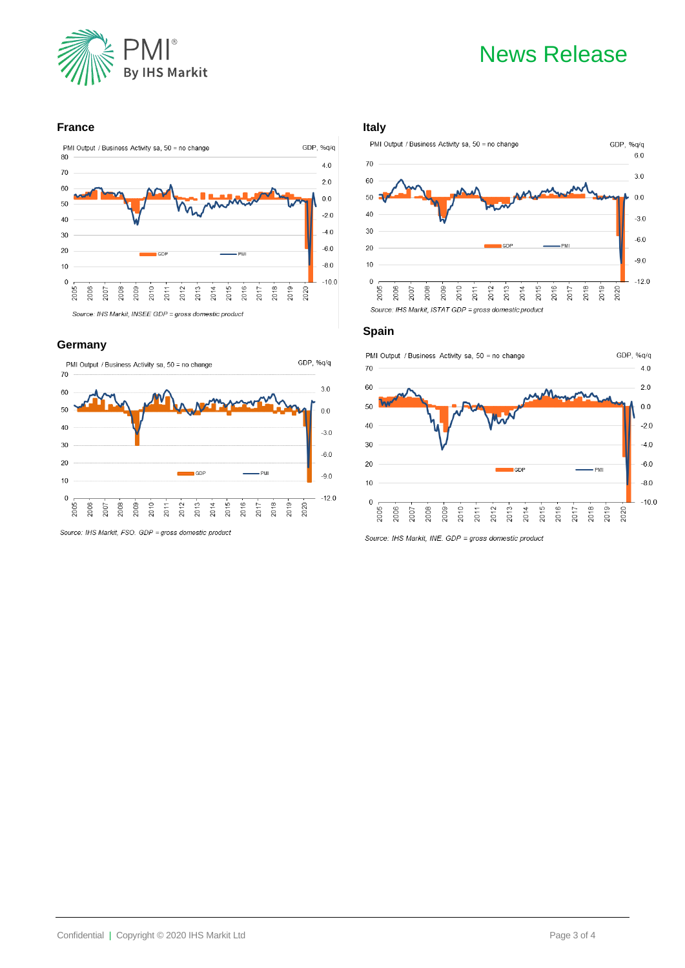

# News Release

### **France**



### **Germany**



Source: IHS Markit, FSO. GDP = gross domestic product

### **Italy**



### **Spain**



Source: IHS Markit, INE. GDP = gross domestic product